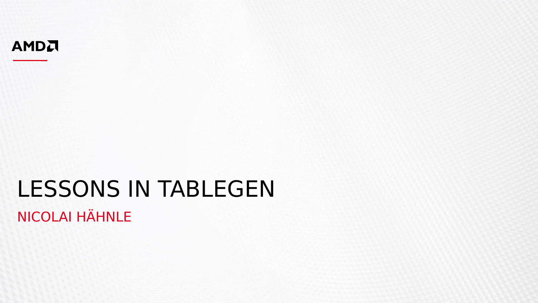

## LESSONS IN TABLEGEN NICOLAI HÄHNLE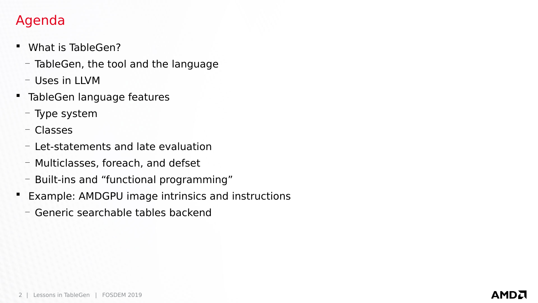#### Agenda

- What is TableGen?
	- TableGen, the tool and the language
	- Uses in LLVM
- **TableGen language features** 
	- Type system
	- Classes
	- Let-statements and late evaluation
	- Multiclasses, foreach, and defset
	- Built-ins and "functional programming"
- **Example: AMDGPU image intrinsics and instructions** 
	- Generic searchable tables backend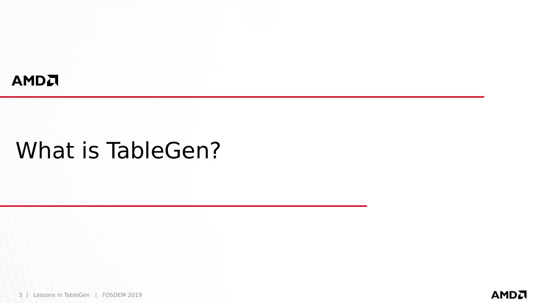#### AMDA

## What is TableGen?

3 | Lessons in TableGen | FOSDEM 2019

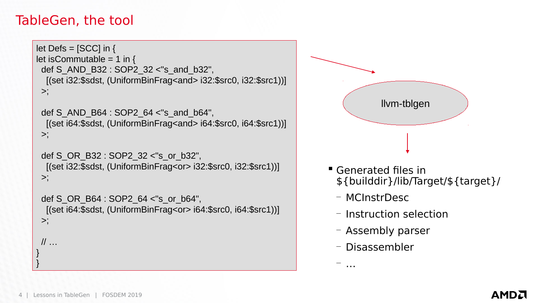#### TableGen, the tool

```
let Defs = [SCC] in \{let isCommutable = 1 in {
  def S_AND_B32 : SOP2_32 <"s_and_b32",
   [(set i32:$sdst, (UniformBinFrag<and> i32:$src0, i32:$src1))]
 \geq;
```

```
 def S_AND_B64 : SOP2_64 <"s_and_b64",
  [(set i64:$sdst, (UniformBinFrag<and> i64:$src0, i64:$src1))]
>;
```

```
 def S_OR_B32 : SOP2_32 <"s_or_b32",
  [(set i32:$sdst, (UniformBinFrag<or> i32:$src0, i32:$src1))]
>;
```

```
 def S_OR_B64 : SOP2_64 <"s_or_b64",
  [(set i64:$sdst, (UniformBinFrag<or> i64:$src0, i64:$src1))]
>;
```

```
 // …
```
} }



- Generated files in \${builddir}/lib/Target/\${target}/
	- MCInstrDesc
	- Instruction selection
	- Assembly parser
	- Disassembler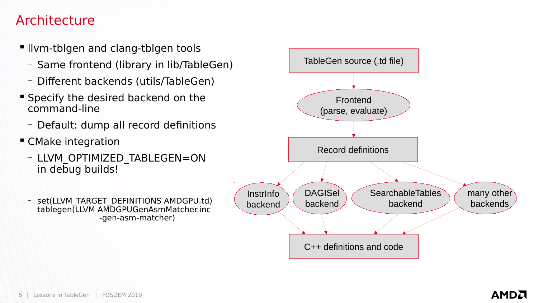#### Architecture

- **.** Ilym-tblgen and clang-tblgen tools
	- Same frontend (library in lib/TableGen)
	- Different backends (utils/TableGen)
- **Specify the desired backend on the** command-line
	- Default: dump all record definitions
- **CMake integration** 
	- LLVM\_OPTIMIZED\_TABLEGEN=ON in debug builds!
	- set(LLVM\_TARGET\_DEFINITIONS AMDGPU.td) tablegen(LLVM AMDGPUGenAsmMatcher.inc -gen-asm-matcher)

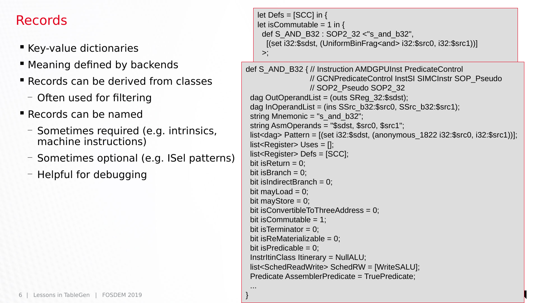#### Records

- **EXEY-value dictionaries**
- Meaning defined by backends
- **E** Records can be derived from classes
	- Often used for filtering
- Records can be named
	- Sometimes required (e.g. intrinsics, machine instructions)
	- Sometimes optional (e.g. ISel patterns)

}

— Helpful for debugging

```
let Defs = [SCC] in \{let isCommutable = 1 in {
     def S_AND_B32 : SOP2_32 <"s_and_b32",
      [(set i32:$sdst, (UniformBinFrag<and> i32:$src0, i32:$src1))]
    >;
def S_AND_B32 { // Instruction AMDGPUInst PredicateControl
                   // GCNPredicateControl InstSI SIMCInstr SOP_Pseudo
                   // SOP2_Pseudo SOP2_32
 dag OutOperandList = (outs SReg 32:$sdst);
 dag InOperandList = (ins SSrc_b32:$src0, SSrc_b32:$src1);
 string Mnemonic = "s_and_b32";
  string AsmOperands = "$sdst, $src0, $src1";
  list<dag> Pattern = [(set i32:$sdst, (anonymous_1822 i32:$src0, i32:$src1))];
 list <Register> Uses = \prod;
  list<Register> Defs = [SCC];
 bit is Return = 0:
 bit isBranch = 0;
 bit is Indirect Branch = 0;
 bit may \text{Load} = 0;
 bit mayStore = 0;
 bit isConvertibleToThreeAddress = 0;
 bit is Commutable = 1;
 bit is Terminator = 0;
 bit is ReMaterializable = 0;
 bit is Predicable = 0;
  InstrItinClass Itinerary = NullALU;
  list<SchedReadWrite> SchedRW = [WriteSALU];
  Predicate AssemblerPredicate = TruePredicate;
 ...
```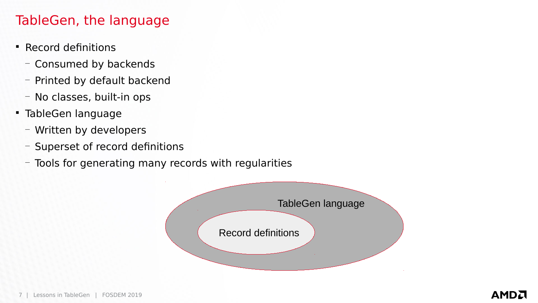### TableGen, the language

- Record definitions
	- Consumed by backends
	- Printed by default backend
	- No classes, built-in ops
- TableGen language
	- Written by developers
	- Superset of record definitions
	- Tools for generating many records with regularities

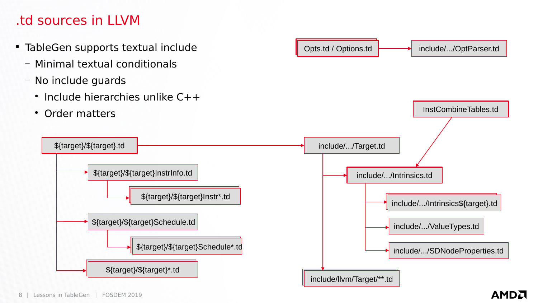#### .td sources in LLVM

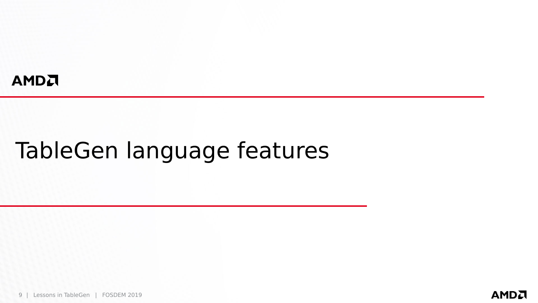#### AMDA

# TableGen language features

9 | Lessons in TableGen | FOSDEM 2019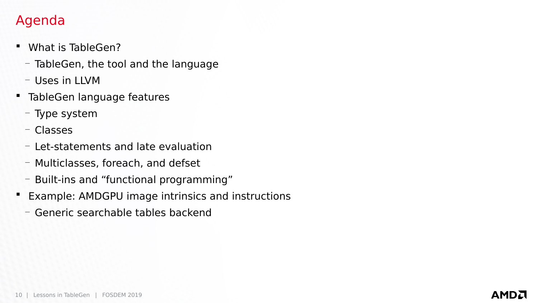#### Agenda

- What is TableGen?
	- TableGen, the tool and the language
	- Uses in LLVM
- **TableGen language features** 
	- Type system
	- Classes
	- Let-statements and late evaluation
	- Multiclasses, foreach, and defset
	- Built-ins and "functional programming"
- **Example: AMDGPU image intrinsics and instructions** 
	- Generic searchable tables backend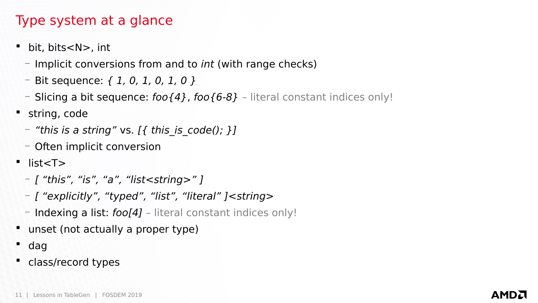#### Type system at a glance

- bit, bits<N>, int
	- Implicit conversions from and to *int* (with range checks)
	- $-$  Bit sequence:  $\{1, 0, 1, 0, 1, 0\}$
	- Slicing a bit sequence:  $foo{4}$ ,  $foo{6-8}$  literal constant indices only!
- string, code
	- $-$  "this is a string" vs. [{ this\_is\_code(); }]
	- Often implicit conversion
- $\blacksquare$  list <T >
	- [ "this", "is", "a", "list<string>" ]
	- [ "explicitly", "typed", "list", "literal" ]<string>
	- $-$  Indexing a list:  $foo[4]$  literal constant indices only!
- unset (not actually a proper type)
- dag
- class/record types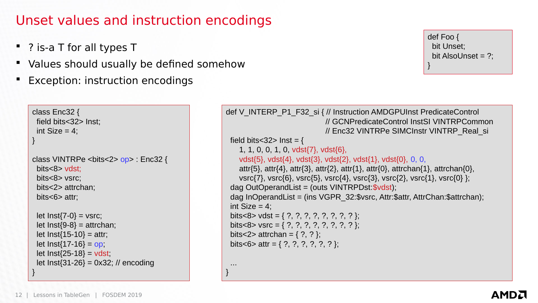#### Unset values and instruction encodings

 ... }

- ? is-a T for all types T
- Values should usually be defined somehow
- Exception: instruction encodings

```
def Foo {
  bit Unset;
  bit AlsoUnset = ?;
}
```

```
class Enc32 {
  field bits<32> Inst;
 int Size = 4;
}
class VINTRPe <bits<2> op> : Enc32 {
  bits<8> vdst;
  bits<8> vsrc;
  bits<2> attrchan;
  bits<6> attr;
 let Inst\{7-0\} = vsrc;
 let Inst{9-8} = attrchan;let Inst\{15-10\} = attr;
 let Inst{17-16} = op;
 let Inst{25-18} = vdst;
  let Inst{31-26} = 0x32; // encoding
}
```

```
def V_INTERP_P1_F32_si { // Instruction AMDGPUInst PredicateControl
                              // GCNPredicateControl InstSI VINTRPCommon
                             // Enc32 VINTRPe SIMCInstr VINTRP_Real_si
 field bits<32> Inst = {
    1, 1, 0, 0, 1, 0, vdst{7}, vdst{6},
    vdst{5}, vdst{4}, vdst{3}, vdst{2}, vdst{1}, vdst{0}, 0, 0,
    attr{5}, attr{4}, attr{3}, attr{2}, attr{1}, attr{0}, attrchan{1}, attrchan{0},
    vsrc{7}, vsrc{6}, vsrc{5}, vsrc{4}, vsrc{3}, vsrc{2}, vsrc{1}, vsrc{0} };
  dag OutOperandList = (outs VINTRPDst:$vdst);
 dag InOperandList = (ins VGPR 32:$vsrc, Attr:$attr, AttrChan:$attrchan);
 int Size = 4;
 bits<8> vdst = { ?, ?, ?, ?, ?, ?, ?, ? };
 bits<8> vsrc = { ?, ?, ?, ?, ?, ?, ?, ? };
 bits<2> attrchan = \{ ? , ? \};
 bits<6> attr = \{ ?, ?, ?, ?, ? \};
```
#### AMDA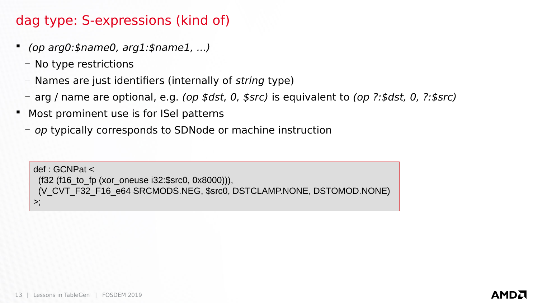#### dag type: S-expressions (kind of)

- (op arg0:\$name0, arg1:\$name1, ...)
	- No type restrictions
	- Names are just identifiers (internally of *string* type)
	- arg / name are optional, e.g. (op \$dst, 0, \$src) is equivalent to (op ?:\$dst, 0, ?:\$src)
- **Most prominent use is for ISel patterns** 
	- *op* typically corresponds to SDNode or machine instruction

def : GCNPat <  $(f32 (f16 to fp (xor oneuse i32:$$$ src0, 0x8000))), (V\_CVT\_F32\_F16\_e64 SRCMODS.NEG, \$src0, DSTCLAMP.NONE, DSTOMOD.NONE)  $>$ ;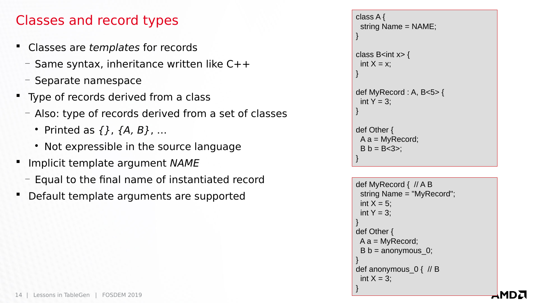#### Classes and record types

- Classes are templates for records
	- $-$  Same syntax, inheritance written like  $C++$
	- Separate namespace
- Type of records derived from a class
	- Also: type of records derived from a set of classes
		- Printed as  $\{ \}$ ,  $\{A, B\}$ , ...
		- Not expressible in the source language
- **IMPLATE** Implicit template argument NAME
	- Equal to the final name of instantiated record
- Default template arguments are supported

```
class A {
  string Name = NAME;
}
class B\leqint x\geq {
 int X = x;
}
def MyRecord : A, B<5> {
 int Y = 3;
}
def Other {
 A a = MyRecord;B b = B < 3 >;
}
```

```
def MyRecord {  // A B
  string Name = "MyRecord";
 int X = 5:
 int Y = 3;
}
def Other {
A a = MyRecord;
 B b = anonymous 0;
}
def anonymous_0 { // B
 int X = 3;
}
```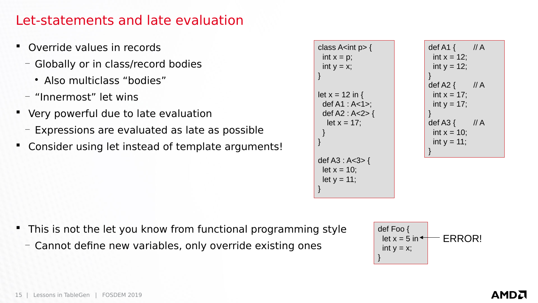#### Let-statements and late evaluation

- Override values in records
	- Globally or in class/record bodies
		- Also multiclass "bodies"
	- "Innermost" let wins
- Very powerful due to late evaluation
	- Expressions are evaluated as late as possible
- Consider using let instead of template arguments!





- This is not the let you know from functional programming style
	- Cannot define new variables, only override existing ones

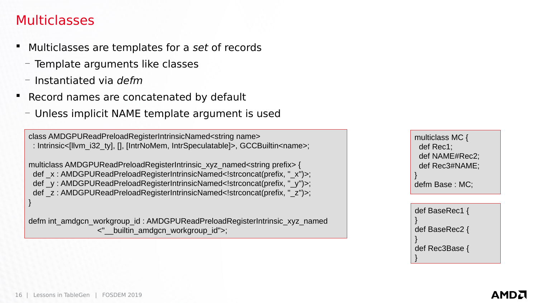#### **Multiclasses**

- **Multiclasses are templates for a set of records** 
	- Template arguments like classes
	- Instantiated via defm
- **Record names are concatenated by default** 
	- Unless implicit NAME template argument is used

class AMDGPUReadPreloadRegisterIntrinsicNamed<string name> : Intrinsic<[llvm\_i32\_ty], [], [IntrNoMem, IntrSpeculatable]>, GCCBuiltin<name>;

multiclass AMDGPUReadPreloadRegisterIntrinsic\_xyz\_named<string prefix> { def  $x : AMDGPUReadPreloadReqisterIntrinsicNamed;$ def y: AMDGPUReadPreloadRegisterIntrinsicNamed<!strconcat(prefix, "\_y")>; def z: AMDGPUReadPreloadRegisterIntrinsicNamed<!strconcat(prefix, " z")>; }

defm int\_amdgcn\_workgroup\_id : AMDGPUReadPreloadRegisterIntrinsic\_xyz\_named <"\_\_builtin\_amdgcn\_workgroup\_id">;

multiclass MC { def Rec1; def NAME#Rec2; def Rec3#NAME; } defm Base : MC;

def BaseRec1 { } def BaseRec2 { } def Rec3Base { }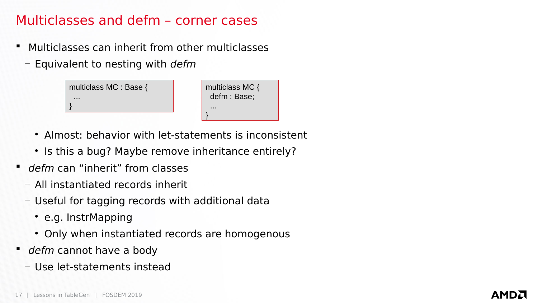#### Multiclasses and defm – corner cases

- **Multiclasses can inherit from other multiclasses** 
	- $-$  Equivalent to nesting with *defm*

| multiclass MC : Base { | multiclass MC $\{$ |  |
|------------------------|--------------------|--|
| .                      | defm : Base;       |  |
|                        | .                  |  |
|                        |                    |  |

- Almost: behavior with let-statements is inconsistent
- Is this a bug? Maybe remove inheritance entirely?
- defm can "inherit" from classes
	- All instantiated records inherit
	- Useful for tagging records with additional data
		- e.g. InstrMapping
		- Only when instantiated records are homogenous
- defm cannot have a body
	- Use let-statements instead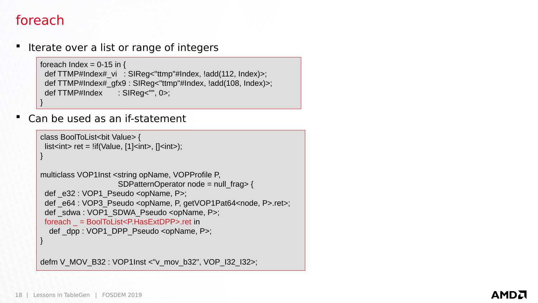#### foreach

Iterate over a list or range of integers

```
foreach Index = 0-15 in {
 def TTMP#Index# vi : SIReg<"ttmp"#Index, !add(112, Index)>;
  def TTMP#Index#_gfx9 : SIReg<"ttmp"#Index, !add(108, Index)>;
 def TTMP#Index : SIReq<"", 0>;
}
```
Can be used as an if-statement

```
class BoolToList<bit Value> {
 list<int> ret = !if(Value, [1]<int>, [1]<int>);
}
multiclass VOP1Inst <string opName, VOPProfile P,
                    SDPatternOperator node = null_frag> {
 def e32 : VOP1 Pseudo <opName, P>;
 def e64 : VOP3 Pseudo <opName, P, getVOP1Pat64<node, P>.ret>;
 def sdwa : VOP1 SDWA Pseudo <opName, P>;
  foreach _ = BoolToList<P.HasExtDPP>.ret in
  def dpp : VOP1_DPP_Pseudo <opName, P>;
}
```
defm V\_MOV\_B32 : VOP1Inst <"v\_mov\_b32", VOP\_I32\_I32>;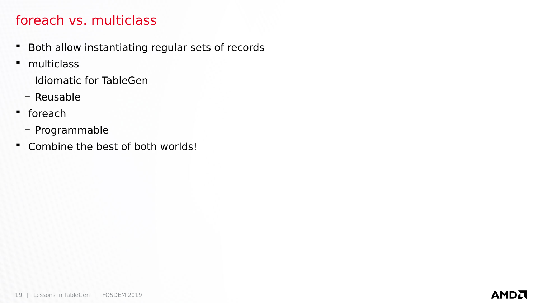#### foreach vs. multiclass

- **Both allow instantiating regular sets of records**
- multiclass
	- Idiomatic for TableGen
	- Reusable
- foreach
	- Programmable
- Combine the best of both worlds!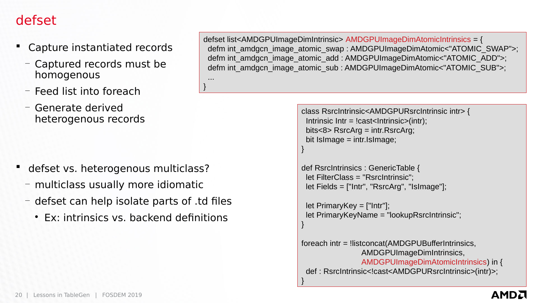#### defset

- Capture instantiated records
	- Captured records must be homogenous
	- Feed list into foreach
	- Generate derived heterogenous records

- defset vs. heterogenous multiclass?
	- multiclass usually more idiomatic
	- defset can help isolate parts of .td files

 ... }

Ex: intrinsics vs. backend definitions

defset list<AMDGPUImageDimIntrinsic> AMDGPUImageDimAtomicIntrinsics = { defm int\_amdgcn\_image\_atomic\_swap : AMDGPUImageDimAtomic<"ATOMIC\_SWAP">; defm int\_amdgcn\_image\_atomic\_add : AMDGPUImageDimAtomic<"ATOMIC\_ADD">; defm int\_amdgcn\_image\_atomic\_sub : AMDGPUImageDimAtomic<"ATOMIC\_SUB">;

```
class RsrcIntrinsic<AMDGPURsrcIntrinsic intr> {
 Intrinsic Intr = |cast<Intrinsic>(intr);
  bits<8> RsrcArg = intr.RsrcArg;
 bit IsImage = intr.IsImage;
```

```
}
```
}

}

```
def RsrcIntrinsics : GenericTable {
  let FilterClass = "RsrcIntrinsic";
  let Fields = ["Intr", "RsrcArg", "IsImage"];
```

```
 let PrimaryKey = ["Intr"];
 let PrimaryKeyName = "lookupRsrcIntrinsic";
```

```
foreach intr = !listconcat(AMDGPUBufferIntrinsics,
                 AMDGPUImageDimIntrinsics,
                 AMDGPUImageDimAtomicIntrinsics) in {
 def : RsrcIntrinsic<!cast<AMDGPURsrcIntrinsic>(intr)>;
```
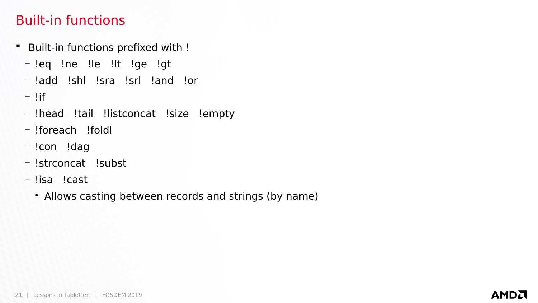#### Built-in functions

- **Built-in functions prefixed with !** 
	- !eq !ne !le !lt !ge !gt
	- !add !shl !sra !srl !and !or
	- $-$ !if
	- !head !tail !listconcat !size !empty
	- !foreach !foldl
	- !con !dag
	- !strconcat !subst
	- !isa !cast
		- Allows casting between records and strings (by name)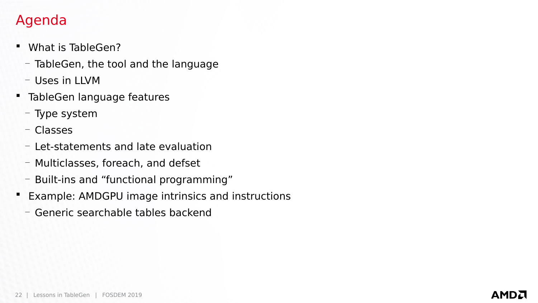### Agenda

- What is TableGen?
	- TableGen, the tool and the language
	- Uses in LLVM
- **TableGen language features** 
	- Type system
	- Classes
	- Let-statements and late evaluation
	- Multiclasses, foreach, and defset
	- Built-ins and "functional programming"
- **Example: AMDGPU image intrinsics and instructions** 
	- Generic searchable tables backend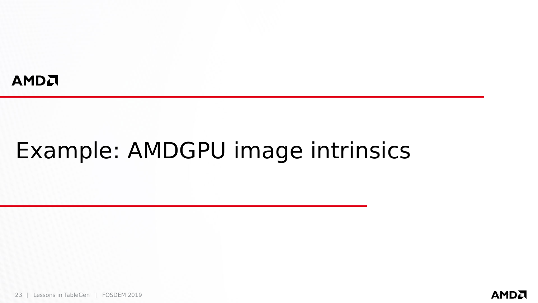#### AMDA

# Example: AMDGPU image intrinsics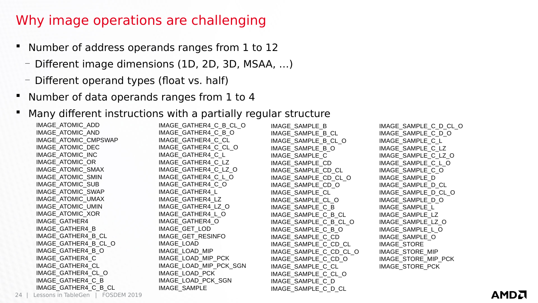#### Why image operations are challenging

- Number of address operands ranges from 1 to 12
	- Different image dimensions (1D, 2D, 3D, MSAA, …)
	- Different operand types (float vs. half)
- **Number of data operands ranges from 1 to 4**

#### Many different instructions with a partially regular structure

| IMAGE_ATOMIC_ADD                 | IMAGE_GATHER4_C_B_CL_O | IMAGE SAMPLE B         | IMAGE SAMPLE C D CL O |
|----------------------------------|------------------------|------------------------|-----------------------|
| IMAGE ATOMIC AND                 | IMAGE GATHER4 C B O    | IMAGE SAMPLE B CL      | IMAGE SAMPLE C D O    |
| IMAGE_ATOMIC_CMPSWAP             | IMAGE_GATHER4_C_CL     | IMAGE SAMPLE B CL O    | IMAGE SAMPLE C L      |
| IMAGE_ATOMIC_DEC                 | IMAGE_GATHER4_C_CL_O   | IMAGE SAMPLE B O       | IMAGE SAMPLE C LZ     |
| IMAGE_ATOMIC_INC                 | IMAGE GATHER4 C L      | IMAGE SAMPLE C         | IMAGE_SAMPLE_C_LZ_O   |
| IMAGE_ATOMIC_OR                  | IMAGE GATHER4 C LZ     | IMAGE_SAMPLE CD        | IMAGE_SAMPLE_C_L_O    |
| IMAGE ATOMIC SMAX                | IMAGE_GATHER4_C_LZ_O   | IMAGE SAMPLE CD CL     | IMAGE SAMPLE C O      |
| IMAGE ATOMIC SMIN                | IMAGE_GATHER4_C_L_O    | IMAGE_SAMPLE_CD_CL_O   | IMAGE SAMPLE D        |
| IMAGE_ATOMIC_SUB                 | IMAGE_GATHER4_C_O      | IMAGE SAMPLE CD O      | IMAGE SAMPLE D CL     |
| IMAGE_ATOMIC_SWAP                | IMAGE GATHER4 L        | IMAGE SAMPLE CL        | IMAGE SAMPLE D CL O   |
| IMAGE ATOMIC UMAX                | IMAGE GATHER4 LZ       | IMAGE SAMPLE CL O      | IMAGE_SAMPLE_D_O      |
| IMAGE_ATOMIC_UMIN                | IMAGE GATHER4 LZ O     | IMAGE SAMPLE C B       | IMAGE SAMPLE L        |
| IMAGE_ATOMIC_XOR                 | IMAGE_GATHER4_L_O      | IMAGE SAMPLE C B CL    | IMAGE SAMPLE LZ       |
| <b>IMAGE GATHER4</b>             | IMAGE GATHER4 O        | IMAGE SAMPLE C B CL O  | IMAGE SAMPLE LZ O     |
| IMAGE GATHER4 B                  | IMAGE GET LOD          | IMAGE SAMPLE C B O     | IMAGE_SAMPLE_L_O      |
| IMAGE GATHER4 B CL               | IMAGE GET RESINFO      | IMAGE SAMPLE C CD      | IMAGE_SAMPLE_O        |
| IMAGE GATHER4 B CL O             | IMAGE LOAD             | IMAGE SAMPLE C CD CL   | <b>IMAGE STORE</b>    |
| IMAGE_GATHER4_B_O                | IMAGE LOAD MIP         | IMAGE SAMPLE C CD CL O | IMAGE STORE MIP       |
| IMAGE_GATHER4 C                  | IMAGE_LOAD_MIP_PCK     | IMAGE SAMPLE C CD O    | IMAGE STORE MIP PCK   |
| IMAGE GATHER4 CL                 | IMAGE_LOAD_MIP_PCK_SGN | IMAGE SAMPLE C CL      | IMAGE STORE PCK       |
| IMAGE GATHER4 CL O               | IMAGE_LOAD_PCK         | IMAGE SAMPLE C CL O    |                       |
| IMAGE GATHER4 C B                | IMAGE LOAD PCK SGN     | IMAGE_SAMPLE_C_D       |                       |
| IMAGE_GATHER4_C_B_CL             | <b>IMAGE SAMPLE</b>    | IMAGE SAMPLE C D CL    |                       |
| Assans in TableGen   FOSDEM 2019 |                        |                        |                       |

24 | Lessons in TableGen | FOSDEM 2019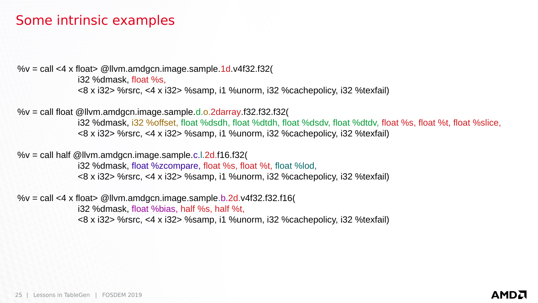#### Some intrinsic examples

% $v =$  call <4 x float> @llvm.amdgcn.image.sample.1d.v4f32.f32(

i32 %dmask, float %s, <8 x i32> %rsrc, <4 x i32> %samp, i1 %unorm, i32 %cachepolicy, i32 %texfail)

% $v =$  call float @llvm.amdgcn.image.sample.d.o.2darray.f32.f32.f32(

i32 %dmask, i32 %offset, float %dsdh, float %dtdh, float %dsdv, float %dtdv, float %s, float %t, float %slice, <8 x i32> %rsrc, <4 x i32> %samp, i1 %unorm, i32 %cachepolicy, i32 %texfail)

% $v =$  call half @llvm.amdgcn.image.sample.c.l.2d.f16.f32(

i32 %dmask, float %zcompare, float %s, float %t, float %lod, <8 x i32> %rsrc, <4 x i32> %samp, i1 %unorm, i32 %cachepolicy, i32 %texfail)

% $v =$  call <4 x float> @llvm.amdgcn.image.sample.b.2d.v4f32.f32.f16(

i32 %dmask, float %bias, half %s, half %t,

<8 x i32> %rsrc, <4 x i32> %samp, i1 %unorm, i32 %cachepolicy, i32 %texfail)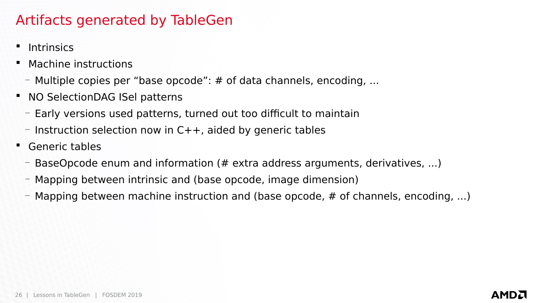#### Artifacts generated by TableGen

- **Intrinsics**
- Machine instructions
	- $-$  Multiple copies per "base opcode":  $\#$  of data channels, encoding, ...
- **NO SelectionDAG ISel patterns** 
	- Early versions used patterns, turned out too difficult to maintain
	- $-$  Instruction selection now in C++, aided by generic tables
- Generic tables
	- BaseOpcode enum and information (# extra address arguments, derivatives, ...)
	- Mapping between intrinsic and (base opcode, image dimension)
	- $-$  Mapping between machine instruction and (base opcode,  $\#$  of channels, encoding, ...)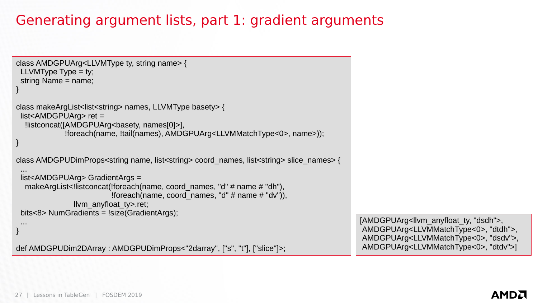### Generating argument lists, part 1: gradient arguments

```
class AMDGPUArg<LLVMType ty, string name> {
 LLVMType Type = ty;
  string Name = name;
}
class makeArgList<list<string> names, LLVMType basety> {
  list<AMDGPUArg> ret =
  !listconcat([AMDGPUArg<br/>basety, names[0]>],
              !foreach(name, !tail(names), AMDGPUArg<LLVMMatchType<0>, name>));
}
class AMDGPUDimProps<string name, list<string> coord_names, list<string> slice_names> {
 ...
  list<AMDGPUArg> GradientArgs =
  makeArgList<!listconcat(!foreach(name, coord_names, "d" \# name \# "dh"),
                         !foreach(name, coord names, "d" \# name \# "dv")),
                llvm_anyfloat_ty>.ret;
  bits<8> NumGradients = !size(GradientArgs);
 ...
}
def AMDGPUDim2DArray : AMDGPUDimProps<"2darray", ["s", "t"], ["slice"]>;
                                                                                            [AMDGPUArg<llvm_anyfloat_ty, "dsdh">,
                                                                                            AMDGPUArg<LLVMMatchType<0>, "dtdh">,
                                                                                            AMDGPUArg<LLVMMatchType<0>, "dsdv">,
                                                                                            AMDGPUArg<LLVMMatchType<0>, "dtdv">]
```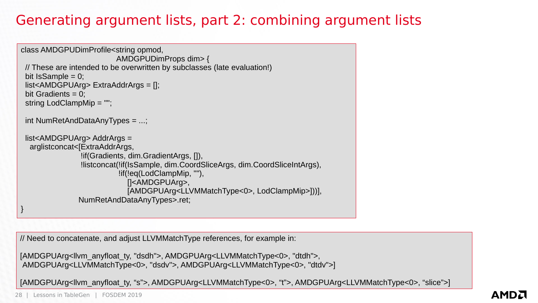### Generating argument lists, part 2: combining argument lists

```
class AMDGPUDimProfile<string opmod,
                           AMDGPUDimProps dim> {
  // These are intended to be overwritten by subclasses (late evaluation!)
 bit IsSample = 0;
  list<AMDGPUArg> ExtraAddrArgs = [];
 bit Gradients = 0;
  string LodClampMip = "";
  int NumRetAndDataAnyTypes = ...;
  list<AMDGPUArg> AddrArgs =
   arglistconcat<[ExtraAddrArgs,
                 !if(Gradients, dim.GradientArgs, []),
                 !listconcat(!if(IsSample, dim.CoordSliceArgs, dim.CoordSliceIntArgs),
                            !if(!eq(LodClampMip, ""),
                             []<AMDGPUArg>,
                             [AMDGPUArg<LLVMMatchType<0>, LodClampMip>]))],
                 NumRetAndDataAnyTypes>.ret;
}
```
// Need to concatenate, and adjust LLVMMatchType references, for example in:

```
[AMDGPUArg<llvm_anyfloat_ty, "dsdh">, AMDGPUArg<LLVMMatchType<0>, "dtdh">,
AMDGPUArg<LLVMMatchType<0>, "dsdv">, AMDGPUArg<LLVMMatchType<0>, "dtdv">]
```
[AMDGPUArg<llvm\_anyfloat\_ty, "s">, AMDGPUArg<LLVMMatchType<0>, "t">, AMDGPUArg<LLVMMatchType<0>, "slice">]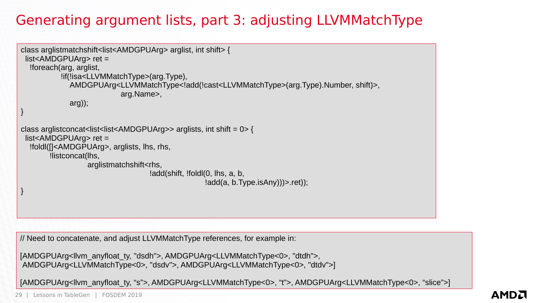### Generating argument lists, part 3: adjusting LLVMMatchType

```
class arglistmatchshift<list<AMDGPUArg> arglist, int shift> {
  list<AMDGPUArg> ret =
   !foreach(arg, arglist,
             !if(!isa<LLVMMatchType>(arg.Type),
               AMDGPUArg<LLVMMatchType<!add(!cast<LLVMMatchType>(arg.Type).Number, shift)>,
                              arg.Name>,
               arg));
}
class arglistconcat<list<list<AMDGPUArg>> arglists, int shift = 0 > {
  list<AMDGPUArg> ret =
   !foldl([]<AMDGPUArg>, arglists, lhs, rhs,
         !listconcat(lhs,
                    arglistmatchshift<rhs,
                                       !add(shift, !foldl(0, lhs, a, b,
                                                      !add(a, b.Type.isAny))\geq .ret);
}
```
// Need to concatenate, and adjust LLVMMatchType references, for example in:

```
[AMDGPUArg<llvm_anyfloat_ty, "dsdh">, AMDGPUArg<LLVMMatchType<0>, "dtdh">,
AMDGPUArg<LLVMMatchType<0>, "dsdv">, AMDGPUArg<LLVMMatchType<0>, "dtdv">]
```
[AMDGPUArg<llvm\_anyfloat\_ty, "s">, AMDGPUArg<LLVMMatchType<0>, "t">, AMDGPUArg<LLVMMatchType<0>, "slice">]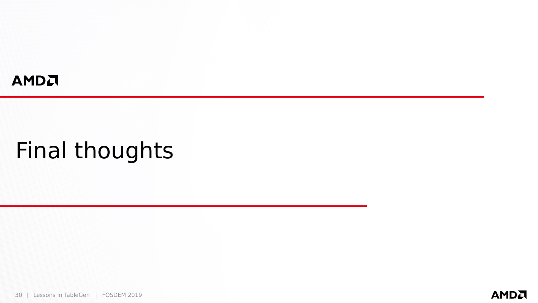#### AMDA

# Final thoughts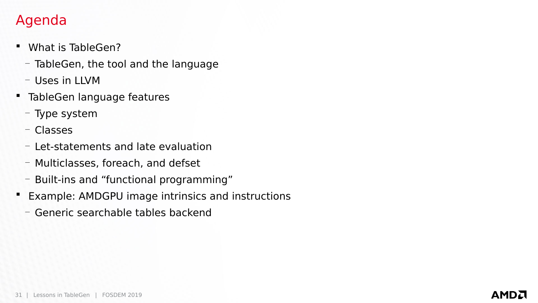### Agenda

- What is TableGen?
	- TableGen, the tool and the language
	- Uses in LLVM
- **TableGen language features** 
	- Type system
	- Classes
	- Let-statements and late evaluation
	- Multiclasses, foreach, and defset
	- Built-ins and "functional programming"
- **Example: AMDGPU image intrinsics and instructions** 
	- Generic searchable tables backend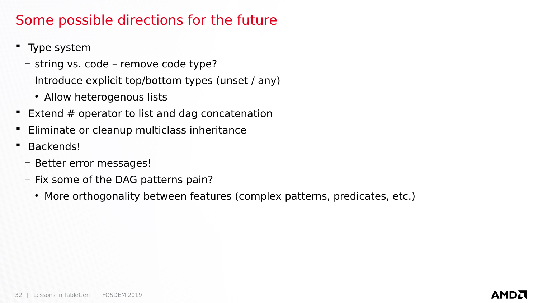#### Some possible directions for the future

- Type system
	- string vs. code remove code type?
	- Introduce explicit top/bottom types (unset / any)
		- Allow heterogenous lists
- **Extend # operator to list and dag concatenation**
- Eliminate or cleanup multiclass inheritance
- **Backends!** 
	- Better error messages!
	- Fix some of the DAG patterns pain?
		- More orthogonality between features (complex patterns, predicates, etc.)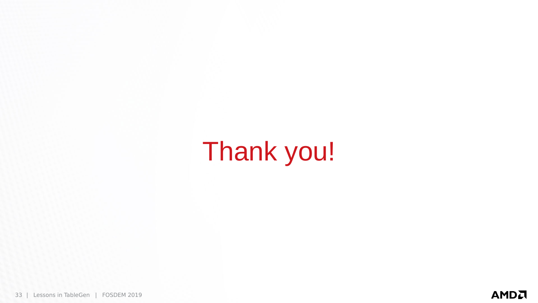Thank you!